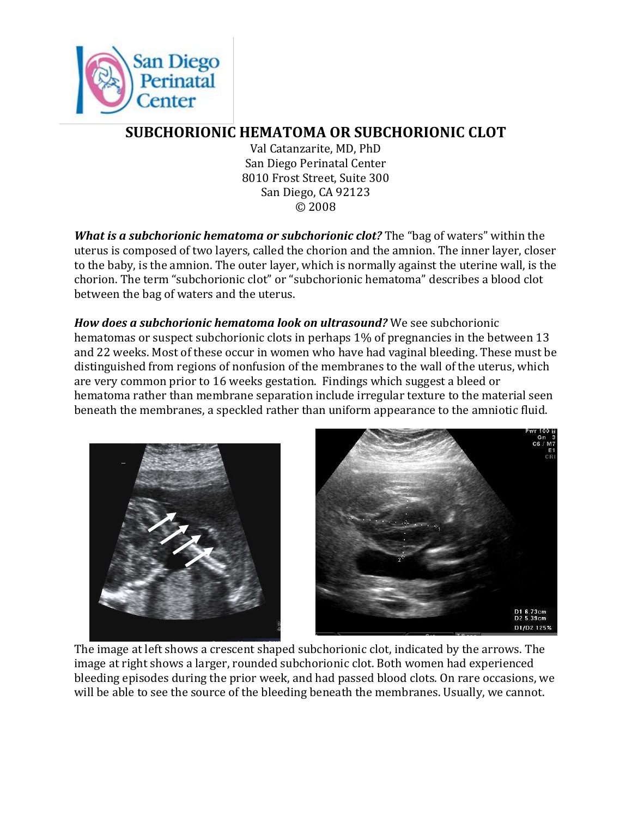

## **SUBCHORIONIC HEMATOMA OR SUBCHORIONIC CLOT**

Val Catanzarite, MD, PhD San Diego Perinatal Center 8010 Frost Street, Suite 300 San Diego, CA 92123 © 2008

*What is a subchorionic hematoma or subchorionic clot?* The "bag of waters" within the uterus is composed of two layers, called the chorion and the amnion. The inner layer, closer to the baby, is the amnion. The outer layer, which is normally against the uterine wall, is the chorion. The term "subchorionic clot" or "subchorionic hematoma" describes a blood clot between the bag of waters and the uterus.

*How does a subchorionic hematoma look on ultrasound?* We see subchorionic hematomas or suspect subchorionic clots in perhaps 1% of pregnancies in the between 13 and 22 weeks. Most of these occur in women who have had vaginal bleeding. These must be distinguished from regions of nonfusion of the membranes to the wall of the uterus, which are very common prior to 16 weeks gestation. Findings which suggest a bleed or hematoma rather than membrane separation include irregular texture to the material seen beneath the membranes, a speckled rather than uniform appearance to the amniotic fluid.



The image at left shows a crescent shaped subchorionic clot, indicated by the arrows. The image at right shows a larger, rounded subchorionic clot. Both women had experienced bleeding episodes during the prior week, and had passed blood clots. On rare occasions, we will be able to see the source of the bleeding beneath the membranes. Usually, we cannot.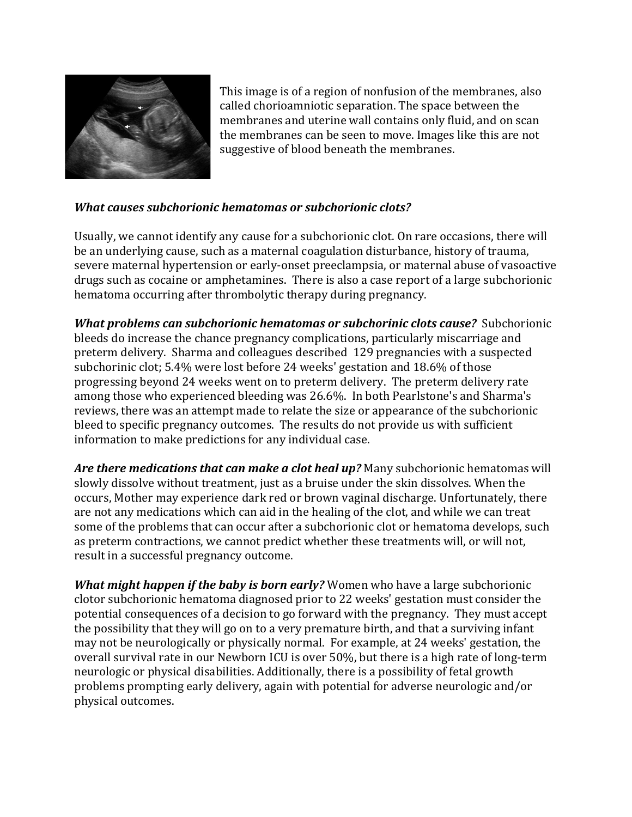

This image is of a region of nonfusion of the membranes, also called chorioamniotic separation. The space between the membranes and uterine wall contains only fluid, and on scan the membranes can be seen to move. Images like this are not suggestive of blood beneath the membranes.

## *What causes subchorionic hematomas or subchorionic clots?*

Usually, we cannot identify any cause for a subchorionic clot. On rare occasions, there will be an underlying cause, such as a maternal coagulation disturbance, history of trauma, severe maternal hypertension or early-onset preeclampsia, or maternal abuse of vasoactive drugs such as cocaine or amphetamines. There is also a case report of a large subchorionic hematoma occurring after thrombolytic therapy during pregnancy.

*What problems can subchorionic hematomas or subchorinic clots cause?* Subchorionic bleeds do increase the chance pregnancy complications, particularly miscarriage and preterm delivery. Sharma and colleagues described 129 pregnancies with a suspected subchorinic clot; 5.4% were lost before 24 weeks' gestation and 18.6% of those progressing beyond 24 weeks went on to preterm delivery. The preterm delivery rate among those who experienced bleeding was 26.6%. In both Pearlstone's and Sharma's reviews, there was an attempt made to relate the size or appearance of the subchorionic bleed to specific pregnancy outcomes. The results do not provide us with sufficient information to make predictions for any individual case.

*Are there medications that can make a clot heal up?* Many subchorionic hematomas will slowly dissolve without treatment, just as a bruise under the skin dissolves. When the occurs, Mother may experience dark red or brown vaginal discharge. Unfortunately, there are not any medications which can aid in the healing of the clot, and while we can treat some of the problems that can occur after a subchorionic clot or hematoma develops, such as preterm contractions, we cannot predict whether these treatments will, or will not, result in a successful pregnancy outcome.

*What might happen if the baby is born early?* Women who have a large subchorionic clotor subchorionic hematoma diagnosed prior to 22 weeks' gestation must consider the potential consequences of a decision to go forward with the pregnancy. They must accept the possibility that they will go on to a very premature birth, and that a surviving infant may not be neurologically or physically normal. For example, at 24 weeks' gestation, the overall survival rate in our Newborn ICU is over 50%, but there is a high rate of long-term neurologic or physical disabilities. Additionally, there is a possibility of fetal growth problems prompting early delivery, again with potential for adverse neurologic and/or physical outcomes.